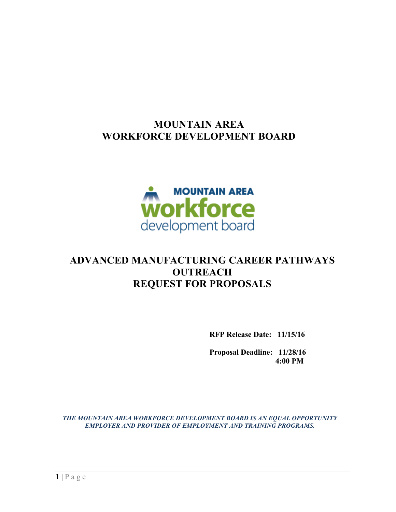# **MOUNTAIN AREA WORKFORCE DEVELOPMENT BOARD**



# **ADVANCED MANUFACTURING CAREER PATHWAYS OUTREACH REQUEST FOR PROPOSALS**

**RFP Release Date: 11/15/16**

**Proposal Deadline: 11/28/16 4:00 PM**

*THE MOUNTAIN AREA WORKFORCE DEVELOPMENT BOARD IS AN EQUAL OPPORTUNITY EMPLOYER AND PROVIDER OF EMPLOYMENT AND TRAINING PROGRAMS.*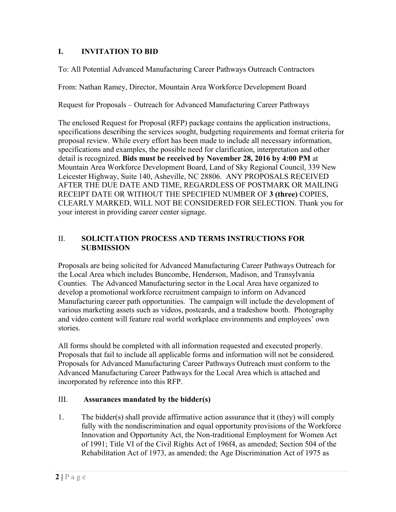### **I. INVITATION TO BID**

To: All Potential Advanced Manufacturing Career Pathways Outreach Contractors

From: Nathan Ramey, Director, Mountain Area Workforce Development Board

Request for Proposals – Outreach for Advanced Manufacturing Career Pathways

The enclosed Request for Proposal (RFP) package contains the application instructions, specifications describing the services sought, budgeting requirements and format criteria for proposal review. While every effort has been made to include all necessary information, specifications and examples, the possible need for clarification, interpretation and other detail is recognized. **Bids must be received by November 28, 2016 by 4:00 PM** at Mountain Area Workforce Development Board, Land of Sky Regional Council, 339 New Leicester Highway, Suite 140, Asheville, NC 28806. ANY PROPOSALS RECEIVED AFTER THE DUE DATE AND TIME, REGARDLESS OF POSTMARK OR MAILING RECEIPT DATE OR WITHOUT THE SPECIFIED NUMBER OF **3 (three)** COPIES, CLEARLY MARKED, WILL NOT BE CONSIDERED FOR SELECTION. Thank you for your interest in providing career center signage.

#### II. **SOLICITATION PROCESS AND TERMS INSTRUCTIONS FOR SUBMISSION**

Proposals are being solicited for Advanced Manufacturing Career Pathways Outreach for the Local Area which includes Buncombe, Henderson, Madison, and Transylvania Counties. The Advanced Manufacturing sector in the Local Area have organized to develop a promotional workforce recruitment campaign to inform on Advanced Manufacturing career path opportunities. The campaign will include the development of various marketing assets such as videos, postcards, and a tradeshow booth. Photography and video content will feature real world workplace environments and employees' own stories.

All forms should be completed with all information requested and executed properly. Proposals that fail to include all applicable forms and information will not be considered. Proposals for Advanced Manufacturing Career Pathways Outreach must conform to the Advanced Manufacturing Career Pathways for the Local Area which is attached and incorporated by reference into this RFP.

#### III. **Assurances mandated by the bidder(s)**

1. The bidder(s) shall provide affirmative action assurance that it (they) will comply fully with the nondiscrimination and equal opportunity provisions of the Workforce Innovation and Opportunity Act, the Non-traditional Employment for Women Act of 1991; Title VI of the Civil Rights Act of 196f4, as amended; Section 504 of the Rehabilitation Act of 1973, as amended; the Age Discrimination Act of 1975 as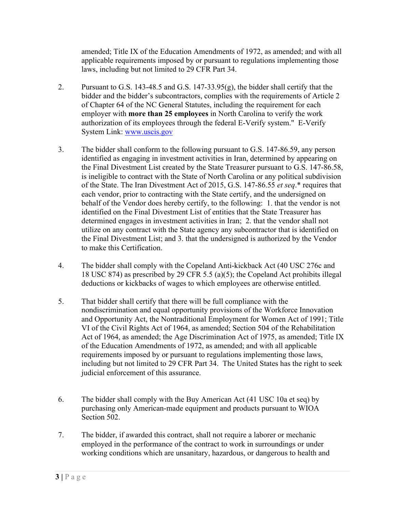amended; Title IX of the Education Amendments of 1972, as amended; and with all applicable requirements imposed by or pursuant to regulations implementing those laws, including but not limited to 29 CFR Part 34.

- 2. Pursuant to G.S. 143-48.5 and G.S. 147-33.95(g), the bidder shall certify that the bidder and the bidder's subcontractors, complies with the requirements of Article 2 of Chapter 64 of the NC General Statutes, including the requirement for each employer with **more than 25 employees** in North Carolina to verify the work authorization of its employees through the federal E-Verify system." E-Verify System Link: www.uscis.gov
- 3. The bidder shall conform to the following pursuant to G.S. 147-86.59, any person identified as engaging in investment activities in Iran, determined by appearing on the Final Divestment List created by the State Treasurer pursuant to G.S. 147-86.58, is ineligible to contract with the State of North Carolina or any political subdivision of the State. The Iran Divestment Act of 2015, G.S. 147-86.55 *et seq*.\* requires that each vendor, prior to contracting with the State certify, and the undersigned on behalf of the Vendor does hereby certify, to the following: 1. that the vendor is not identified on the Final Divestment List of entities that the State Treasurer has determined engages in investment activities in Iran; 2. that the vendor shall not utilize on any contract with the State agency any subcontractor that is identified on the Final Divestment List; and 3. that the undersigned is authorized by the Vendor to make this Certification.
- 4. The bidder shall comply with the Copeland Anti-kickback Act (40 USC 276c and 18 USC 874) as prescribed by 29 CFR 5.5 (a)(5); the Copeland Act prohibits illegal deductions or kickbacks of wages to which employees are otherwise entitled.
- 5. That bidder shall certify that there will be full compliance with the nondiscrimination and equal opportunity provisions of the Workforce Innovation and Opportunity Act, the Nontraditional Employment for Women Act of 1991; Title VI of the Civil Rights Act of 1964, as amended; Section 504 of the Rehabilitation Act of 1964, as amended; the Age Discrimination Act of 1975, as amended; Title IX of the Education Amendments of 1972, as amended; and with all applicable requirements imposed by or pursuant to regulations implementing those laws, including but not limited to 29 CFR Part 34. The United States has the right to seek judicial enforcement of this assurance.
- 6. The bidder shall comply with the Buy American Act (41 USC 10a et seq) by purchasing only American-made equipment and products pursuant to WIOA Section 502.
- 7. The bidder, if awarded this contract, shall not require a laborer or mechanic employed in the performance of the contract to work in surroundings or under working conditions which are unsanitary, hazardous, or dangerous to health and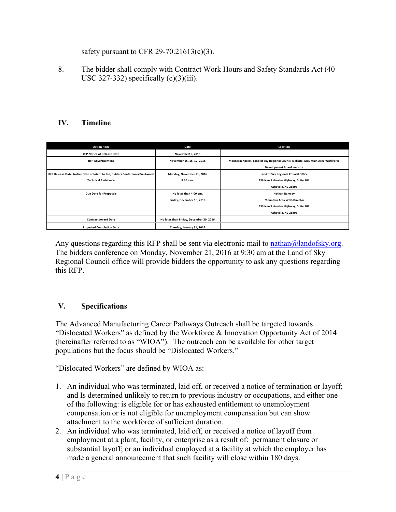safety pursuant to CFR 29-70.21613(c)(3).

8. The bidder shall comply with Contract Work Hours and Safety Standards Act (40 USC 327-332) specifically  $(c)(3)(iii)$ .

## **IV. Timeline**

| <b>Action Item</b>                                                           | Date                                    | Location                                                                       |
|------------------------------------------------------------------------------|-----------------------------------------|--------------------------------------------------------------------------------|
| <b>RFP Notice of Release Date</b>                                            | November15, 2016                        |                                                                                |
| <b>RFP Advertisement</b>                                                     | November 15, 16, 17, 2016               | Mountain Xpress, Land of Sky Regional Council website, Mountain Area Workforce |
|                                                                              |                                         | <b>Development Board website</b>                                               |
| RFP Release Date, Notice Date of Intent to Bid, Bidders Conference/Pre-Award | Monday, November 21, 2016               | Land of Sky Regional Council Office                                            |
| <b>Technical Assistance</b>                                                  | 9:30 a.m.                               | 339 New Leicester Highway, Suite 104                                           |
|                                                                              |                                         | Asheville, NC 28806                                                            |
| <b>Due Date for Proposals</b>                                                | No later than 4:00 pm,                  | <b>Nathan Ramsey</b>                                                           |
|                                                                              | Friday, December 16, 2016               | <b>Mountain Area WDB Director</b>                                              |
|                                                                              |                                         | 339 New Leicester Highway, Suite 104                                           |
|                                                                              |                                         | Asheville, NC 28806                                                            |
| <b>Contract Award Date</b>                                                   | No later than Friday, December 30, 2016 |                                                                                |
| <b>Projected Completion Date</b>                                             | Tuesday, January 31, 2016               |                                                                                |

Any questions regarding this RFP shall be sent via electronic mail to nathan@landofsky.org. The bidders conference on Monday, November 21, 2016 at 9:30 am at the Land of Sky Regional Council office will provide bidders the opportunity to ask any questions regarding this RFP.

### **V. Specifications**

The Advanced Manufacturing Career Pathways Outreach shall be targeted towards "Dislocated Workers" as defined by the Workforce & Innovation Opportunity Act of 2014 (hereinafter referred to as "WIOA"). The outreach can be available for other target populations but the focus should be "Dislocated Workers."

"Dislocated Workers" are defined by WIOA as:

- 1. An individual who was terminated, laid off, or received a notice of termination or layoff; and Is determined unlikely to return to previous industry or occupations, and either one of the following: is eligible for or has exhausted entitlement to unemployment compensation or is not eligible for unemployment compensation but can show attachment to the workforce of sufficient duration.
- 2. An individual who was terminated, laid off, or received a notice of layoff from employment at a plant, facility, or enterprise as a result of: permanent closure or substantial layoff; or an individual employed at a facility at which the employer has made a general announcement that such facility will close within 180 days.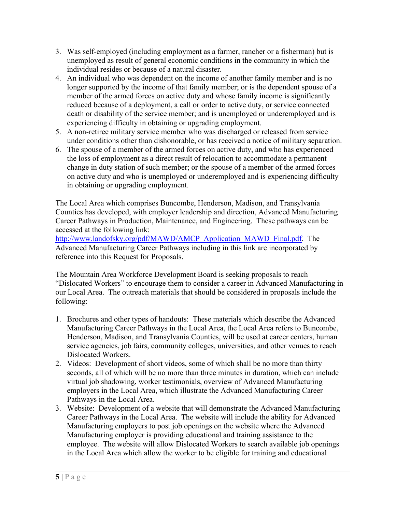- 3. Was self-employed (including employment as a farmer, rancher or a fisherman) but is unemployed as result of general economic conditions in the community in which the individual resides or because of a natural disaster.
- 4. An individual who was dependent on the income of another family member and is no longer supported by the income of that family member; or is the dependent spouse of a member of the armed forces on active duty and whose family income is significantly reduced because of a deployment, a call or order to active duty, or service connected death or disability of the service member; and is unemployed or underemployed and is experiencing difficulty in obtaining or upgrading employment.
- 5. A non-retiree military service member who was discharged or released from service under conditions other than dishonorable, or has received a notice of military separation.
- 6. The spouse of a member of the armed forces on active duty, and who has experienced the loss of employment as a direct result of relocation to accommodate a permanent change in duty station of such member; or the spouse of a member of the armed forces on active duty and who is unemployed or underemployed and is experiencing difficulty in obtaining or upgrading employment.

The Local Area which comprises Buncombe, Henderson, Madison, and Transylvania Counties has developed, with employer leadership and direction, Advanced Manufacturing Career Pathways in Production, Maintenance, and Engineering. These pathways can be accessed at the following link:

http://www.landofsky.org/pdf/MAWD/AMCP\_Application\_MAWD\_Final.pdf. The Advanced Manufacturing Career Pathways including in this link are incorporated by reference into this Request for Proposals.

The Mountain Area Workforce Development Board is seeking proposals to reach "Dislocated Workers" to encourage them to consider a career in Advanced Manufacturing in our Local Area. The outreach materials that should be considered in proposals include the following:

- 1. Brochures and other types of handouts: These materials which describe the Advanced Manufacturing Career Pathways in the Local Area, the Local Area refers to Buncombe, Henderson, Madison, and Transylvania Counties, will be used at career centers, human service agencies, job fairs, community colleges, universities, and other venues to reach Dislocated Workers.
- 2. Videos: Development of short videos, some of which shall be no more than thirty seconds, all of which will be no more than three minutes in duration, which can include virtual job shadowing, worker testimonials, overview of Advanced Manufacturing employers in the Local Area, which illustrate the Advanced Manufacturing Career Pathways in the Local Area.
- 3. Website: Development of a website that will demonstrate the Advanced Manufacturing Career Pathways in the Local Area. The website will include the ability for Advanced Manufacturing employers to post job openings on the website where the Advanced Manufacturing employer is providing educational and training assistance to the employee. The website will allow Dislocated Workers to search available job openings in the Local Area which allow the worker to be eligible for training and educational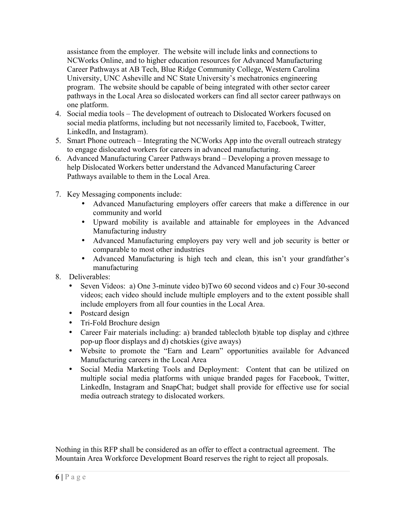assistance from the employer. The website will include links and connections to NCWorks Online, and to higher education resources for Advanced Manufacturing Career Pathways at AB Tech, Blue Ridge Community College, Western Carolina University, UNC Asheville and NC State University's mechatronics engineering program. The website should be capable of being integrated with other sector career pathways in the Local Area so dislocated workers can find all sector career pathways on one platform.

- 4. Social media tools The development of outreach to Dislocated Workers focused on social media platforms, including but not necessarily limited to, Facebook, Twitter, LinkedIn, and Instagram).
- 5. Smart Phone outreach Integrating the NCWorks App into the overall outreach strategy to engage dislocated workers for careers in advanced manufacturing.
- 6. Advanced Manufacturing Career Pathways brand Developing a proven message to help Dislocated Workers better understand the Advanced Manufacturing Career Pathways available to them in the Local Area.
- 7. Key Messaging components include:
	- Advanced Manufacturing employers offer careers that make a difference in our community and world
	- Upward mobility is available and attainable for employees in the Advanced Manufacturing industry
	- Advanced Manufacturing employers pay very well and job security is better or comparable to most other industries
	- Advanced Manufacturing is high tech and clean, this isn't your grandfather's manufacturing
- 8. Deliverables:
	- Seven Videos: a) One 3-minute video b)Two 60 second videos and c) Four 30-second videos; each video should include multiple employers and to the extent possible shall include employers from all four counties in the Local Area.
	- Postcard design
	- Tri-Fold Brochure design
	- Career Fair materials including: a) branded tablecloth b)table top display and c)three pop-up floor displays and d) chotskies (give aways)
	- Website to promote the "Earn and Learn" opportunities available for Advanced Manufacturing careers in the Local Area
	- Social Media Marketing Tools and Deployment: Content that can be utilized on multiple social media platforms with unique branded pages for Facebook, Twitter, LinkedIn, Instagram and SnapChat; budget shall provide for effective use for social media outreach strategy to dislocated workers.

Nothing in this RFP shall be considered as an offer to effect a contractual agreement. The Mountain Area Workforce Development Board reserves the right to reject all proposals.